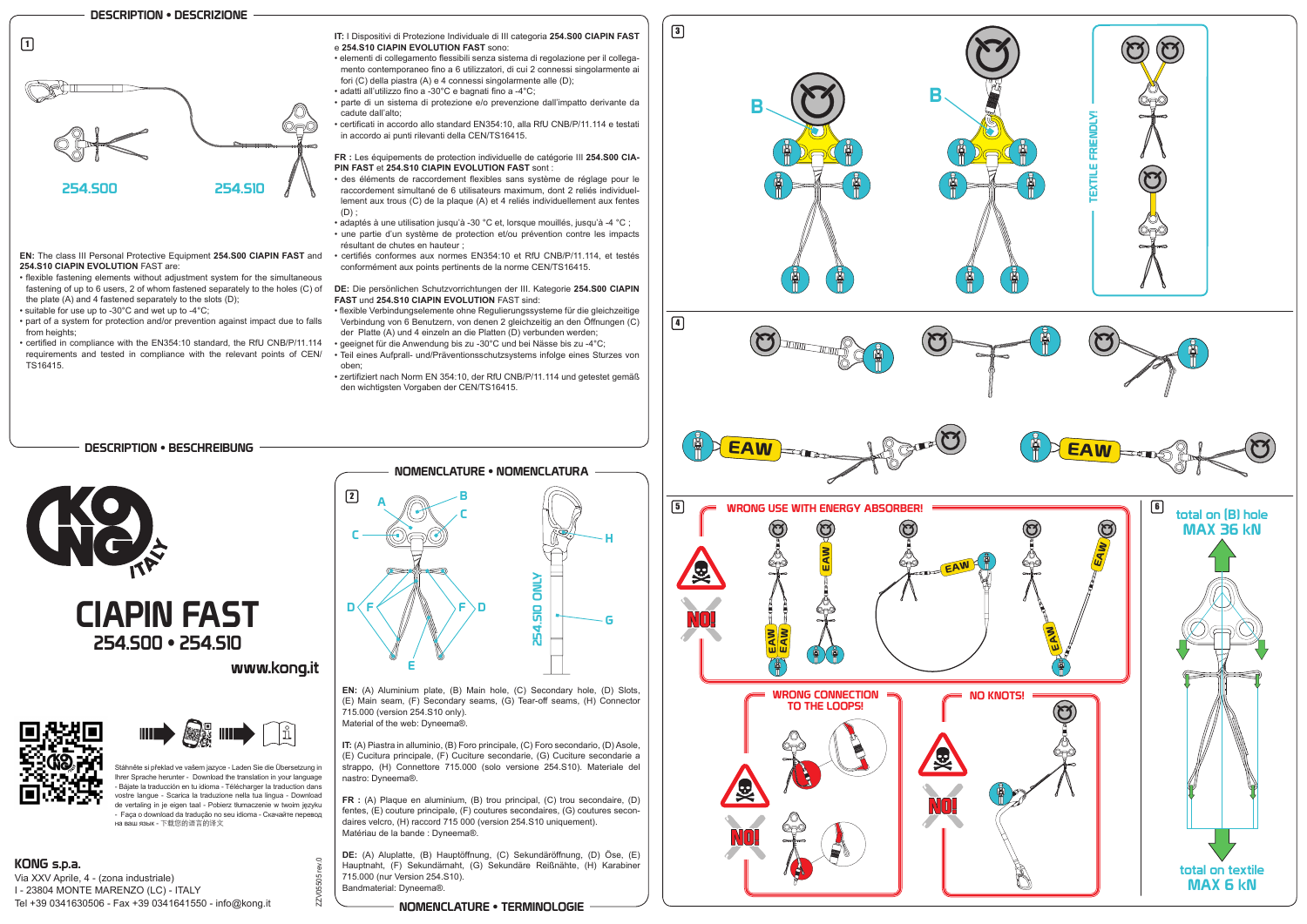**EN:** (A) Aluminium plate, (B) Main hole, (C) Secondary hole, (D) Slots, (E) Main seam, (F) Secondary seams, (G) Tear-off seams, (H) Connector 715.000 (version 254.S10 only). Material of the web: Dyneema®.

**IT:** (A) Piastra in alluminio, (B) Foro principale, (C) Foro secondario, (D) Asole, (E) Cucitura principale, (F) Cuciture secondarie, (G) Cuciture secondarie a strappo, (H) Connettore 715.000 (solo versione 254.S10). Materiale del nastro: Dyneema®.

**FR :** (A) Plaque en aluminium, (B) trou principal, (C) trou secondaire, (D) fentes, (E) couture principale, (F) coutures secondaires, (G) coutures secondaires velcro, (H) raccord 715 000 (version 254.S10 uniquement). Matériau de la bande : Dyneema®.

**DE:** (A) Aluplatte, (B) Hauptöffnung, (C) Sekundäröffnung, (D) Öse, (E) Hauptnaht, (F) Sekundärnaht, (G) Sekundäre Reißnähte, (H) Karabiner 715.000 (nur Version 254.S10). Bandmaterial: Dyneema®.

**EN:** The class III Personal Protective Equipment **254.S00 CIAPIN FAST** and **254.S10 CIAPIN EVOLUTION** FAST are:

- flexible fastening elements without adjustment system for the simultaneous the plate (A) and 4 fastened separately to the slots (D);
- suitable for use up to -30°C and wet up to -4°C;
- part of a system for protection and/or prevention against impact due to falls from heights;
- certified in compliance with the EN354:10 standard, the RfU CNB/P/11.114 requirements and tested in compliance with the relevant points of CEN/ TS16415.



- **IT:** I Dispositivi di Protezione Individuale di III categoria **254.S00 CIAPIN FAST**  e **254.S10 CIAPIN EVOLUTION FAST** sono:
- elementi di collegamento flessibili senza sistema di regolazione per il collegamento contemporaneo fino a 6 utilizzatori, di cui 2 connessi singolarmente ai fori (C) della piastra (A) e 4 connessi singolarmente alle (D);
- adatti all'utilizzo fino a -30°C e bagnati fino a -4°C;
- parte di un sistema di protezione e/o prevenzione dall'impatto derivante da cadute dall'alto;
- certificati in accordo allo standard EN354:10, alla RfU CNB/P/11.114 e testati in accordo ai punti rilevanti della CEN/TS16415.

fastening of up to 6 users, 2 of whom fastened separately to the holes (C) of **DE:** Die persönlichen Schutzvorrichtungen der III. Kategorie **254.S00 CIAPIN FAST** und **254.S10 CIAPIN EVOLUTION** FAST sind:

# NOMENCLATURE • NOMENCLATURA  $\boxed{2}$ B C C H **DNLY** 254.S10 ONLY D **254.510** F  $\mathsf F \,\bm{\triangleright}\,$ D G E

**FR :** Les équipements de protection individuelle de catégorie III **254.S00 CIA-PIN FAST** et **254.S10 CIAPIN EVOLUTION FAST** sont :

- des éléments de raccordement flexibles sans système de réglage pour le raccordement simultané de 6 utilisateurs maximum, dont 2 reliés individuellement aux trous (C) de la plaque (A) et 4 reliés individuellement aux fentes  $(D)$ :
- adaptés à une utilisation jusqu'à -30 °C et, lorsque mouillés, jusqu'à -4 °C ;
- une partie d'un système de protection et/ou prévention contre les impacts résultant de chutes en hauteur ;
- certifiés conformes aux normes EN354:10 et RfU CNB/P/11.114, et testés conformément aux points pertinents de la norme CEN/TS16415.

- flexible Verbindungselemente ohne Regulierungssysteme für die gleichzeitige Verbindung von 6 Benutzern, von denen 2 gleichzeitig an den Öffnungen (C)
- der Platte (A) und 4 einzeln an die Platten (D) verbunden werden; • geeignet für die Anwendung bis zu -30°C und bei Nässe bis zu -4°C;
- Teil eines Aufprall- und/Präventionsschutzsystems infolge eines Sturzes von oben;
- zertifiziert nach Norm EN 354:10, der RfU CNB/P/11.114 und getestet gemäß den wichtigsten Vorgaben der CEN/TS16415.

## NOMENCLATURE • TERMINOLOGIE



## DESCRIPTION • BESCHREIBUNG



ZZV05505 rev.0

ZV0





KONG s.p.a. Via XXV Aprile, 4 - (zona industriale) I - 23804 MONTE MARENZO (LC) - ITALY Tel +39 0341630506 - Fax +39 0341641550 - info@kong.it



www.kona.it

Stáhněte si překlad ve vašem jazyce - Laden Sie die Übersetzung in Ihrer Sprache herunter - Download the translation in your language - Bájate la traducción en tu idioma - Télécharger la traduction dans vostre langue - Scarica la traduzione nella tua lingua - Download de vertaling in je eigen taal - Pobierz tłumaczenie w twoim języku - Faça o download da tradução no seu idioma - Скачайте перевод на ваш язык - 下载您的语言的译文